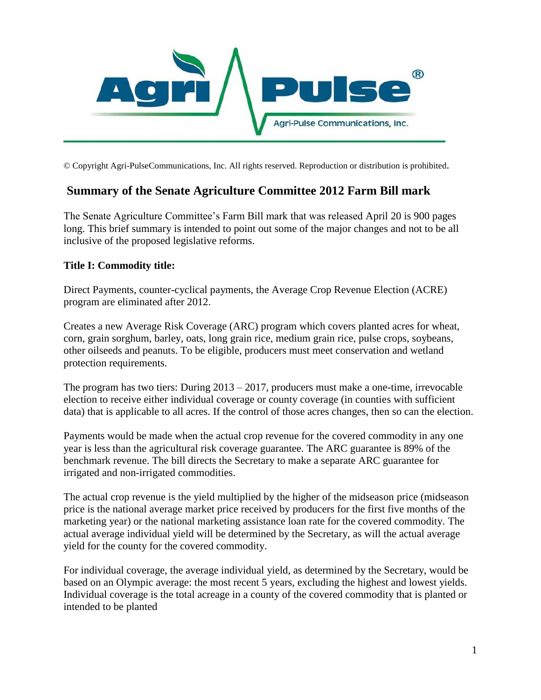

© Copyright Agri-PulseCommunications, Inc. All rights reserved. Reproduction or distribution is prohibited.

# **Summary of the Senate Agriculture Committee 2012 Farm Bill mark**

The Senate Agriculture Committee's Farm Bill mark that was released April 20 is 900 pages long. This brief summary is intended to point out some of the major changes and not to be all inclusive of the proposed legislative reforms.

### **Title I: Commodity title:**

Direct Payments, counter-cyclical payments, the Average Crop Revenue Election (ACRE) program are eliminated after 2012.

Creates a new Average Risk Coverage (ARC) program which covers planted acres for wheat, corn, grain sorghum, barley, oats, long grain rice, medium grain rice, pulse crops, soybeans, other oilseeds and peanuts. To be eligible, producers must meet conservation and wetland protection requirements.

The program has two tiers: During 2013 – 2017, producers must make a one-time, irrevocable election to receive either individual coverage or county coverage (in counties with sufficient data) that is applicable to all acres. If the control of those acres changes, then so can the election.

Payments would be made when the actual crop revenue for the covered commodity in any one year is less than the agricultural risk coverage guarantee. The ARC guarantee is 89% of the benchmark revenue. The bill directs the Secretary to make a separate ARC guarantee for irrigated and non-irrigated commodities.

The actual crop revenue is the yield multiplied by the higher of the midseason price (midseason price is the national average market price received by producers for the first five months of the marketing year) or the national marketing assistance loan rate for the covered commodity. The actual average individual yield will be determined by the Secretary, as will the actual average yield for the county for the covered commodity.

For individual coverage, the average individual yield, as determined by the Secretary, would be based on an Olympic average: the most recent 5 years, excluding the highest and lowest yields. Individual coverage is the total acreage in a county of the covered commodity that is planted or intended to be planted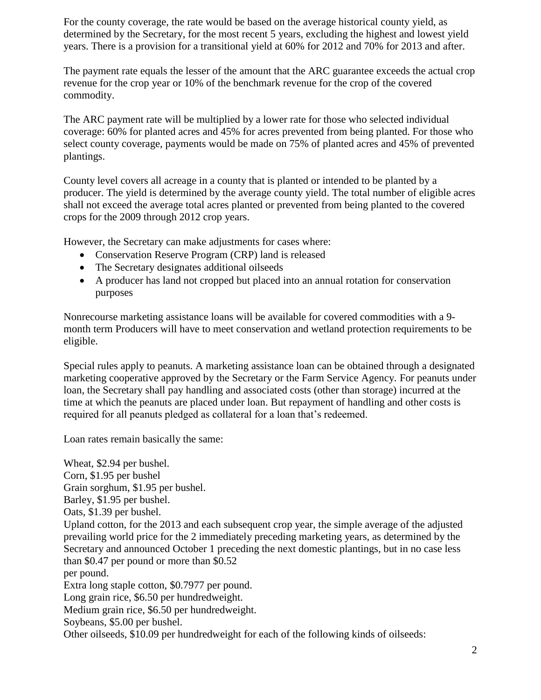For the county coverage, the rate would be based on the average historical county yield, as determined by the Secretary, for the most recent 5 years, excluding the highest and lowest yield years. There is a provision for a transitional yield at 60% for 2012 and 70% for 2013 and after.

The payment rate equals the lesser of the amount that the ARC guarantee exceeds the actual crop revenue for the crop year or 10% of the benchmark revenue for the crop of the covered commodity.

The ARC payment rate will be multiplied by a lower rate for those who selected individual coverage: 60% for planted acres and 45% for acres prevented from being planted. For those who select county coverage, payments would be made on 75% of planted acres and 45% of prevented plantings.

County level covers all acreage in a county that is planted or intended to be planted by a producer. The yield is determined by the average county yield. The total number of eligible acres shall not exceed the average total acres planted or prevented from being planted to the covered crops for the 2009 through 2012 crop years.

However, the Secretary can make adjustments for cases where:

- Conservation Reserve Program (CRP) land is released
- The Secretary designates additional oilseeds
- A producer has land not cropped but placed into an annual rotation for conservation purposes

Nonrecourse marketing assistance loans will be available for covered commodities with a 9 month term Producers will have to meet conservation and wetland protection requirements to be eligible.

Special rules apply to peanuts. A marketing assistance loan can be obtained through a designated marketing cooperative approved by the Secretary or the Farm Service Agency. For peanuts under loan, the Secretary shall pay handling and associated costs (other than storage) incurred at the time at which the peanuts are placed under loan. But repayment of handling and other costs is required for all peanuts pledged as collateral for a loan that's redeemed.

Loan rates remain basically the same:

Wheat, \$2.94 per bushel. Corn, \$1.95 per bushel Grain sorghum, \$1.95 per bushel. Barley, \$1.95 per bushel. Oats, \$1.39 per bushel. Upland cotton, for the 2013 and each subsequent crop year, the simple average of the adjusted prevailing world price for the 2 immediately preceding marketing years, as determined by the Secretary and announced October 1 preceding the next domestic plantings, but in no case less than \$0.47 per pound or more than \$0.52 per pound. Extra long staple cotton, \$0.7977 per pound. Long grain rice, \$6.50 per hundredweight. Medium grain rice, \$6.50 per hundredweight. Soybeans, \$5.00 per bushel. Other oilseeds, \$10.09 per hundredweight for each of the following kinds of oilseeds: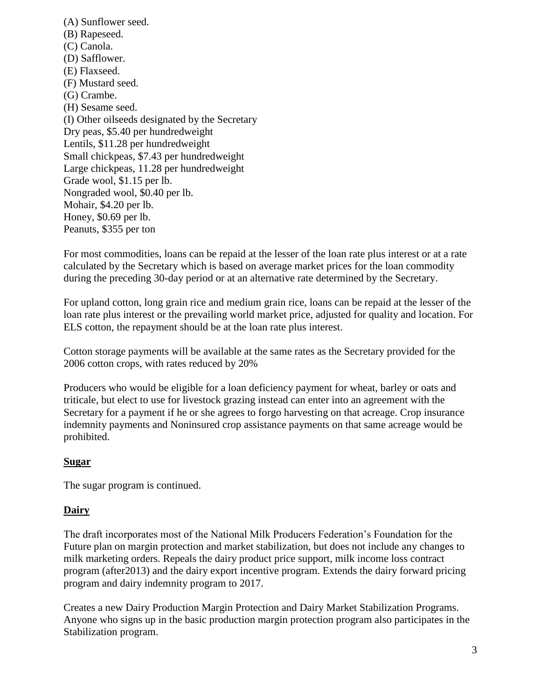(A) Sunflower seed. (B) Rapeseed. (C) Canola. (D) Safflower. (E) Flaxseed. (F) Mustard seed. (G) Crambe. (H) Sesame seed. (I) Other oilseeds designated by the Secretary Dry peas, \$5.40 per hundredweight Lentils, \$11.28 per hundredweight Small chickpeas, \$7.43 per hundredweight Large chickpeas, 11.28 per hundredweight Grade wool, \$1.15 per lb. Nongraded wool, \$0.40 per lb. Mohair, \$4.20 per lb. Honey, \$0.69 per lb. Peanuts, \$355 per ton

For most commodities, loans can be repaid at the lesser of the loan rate plus interest or at a rate calculated by the Secretary which is based on average market prices for the loan commodity during the preceding 30-day period or at an alternative rate determined by the Secretary.

For upland cotton, long grain rice and medium grain rice, loans can be repaid at the lesser of the loan rate plus interest or the prevailing world market price, adjusted for quality and location. For ELS cotton, the repayment should be at the loan rate plus interest.

Cotton storage payments will be available at the same rates as the Secretary provided for the 2006 cotton crops, with rates reduced by 20%

Producers who would be eligible for a loan deficiency payment for wheat, barley or oats and triticale, but elect to use for livestock grazing instead can enter into an agreement with the Secretary for a payment if he or she agrees to forgo harvesting on that acreage. Crop insurance indemnity payments and Noninsured crop assistance payments on that same acreage would be prohibited.

# **Sugar**

The sugar program is continued.

# **Dairy**

The draft incorporates most of the National Milk Producers Federation's Foundation for the Future plan on margin protection and market stabilization, but does not include any changes to milk marketing orders. Repeals the dairy product price support, milk income loss contract program (after2013) and the dairy export incentive program. Extends the dairy forward pricing program and dairy indemnity program to 2017.

Creates a new Dairy Production Margin Protection and Dairy Market Stabilization Programs. Anyone who signs up in the basic production margin protection program also participates in the Stabilization program.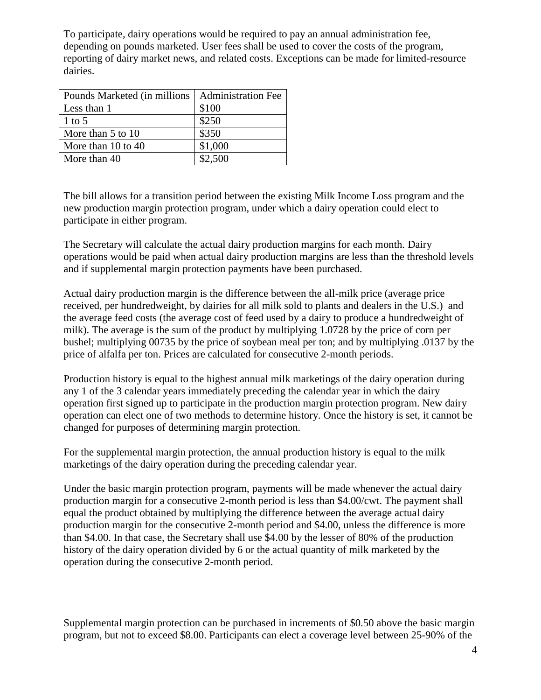To participate, dairy operations would be required to pay an annual administration fee, depending on pounds marketed. User fees shall be used to cover the costs of the program, reporting of dairy market news, and related costs. Exceptions can be made for limited-resource dairies.

| Pounds Marketed (in millions   Administration Fee |         |
|---------------------------------------------------|---------|
| Less than 1                                       | \$100   |
| 1 to 5                                            | \$250   |
| More than 5 to 10                                 | \$350   |
| More than $10$ to $40$                            | \$1,000 |
| More than 40                                      | \$2,500 |

The bill allows for a transition period between the existing Milk Income Loss program and the new production margin protection program, under which a dairy operation could elect to participate in either program.

The Secretary will calculate the actual dairy production margins for each month. Dairy operations would be paid when actual dairy production margins are less than the threshold levels and if supplemental margin protection payments have been purchased.

Actual dairy production margin is the difference between the all-milk price (average price received, per hundredweight, by dairies for all milk sold to plants and dealers in the U.S.) and the average feed costs (the average cost of feed used by a dairy to produce a hundredweight of milk). The average is the sum of the product by multiplying 1.0728 by the price of corn per bushel; multiplying 00735 by the price of soybean meal per ton; and by multiplying .0137 by the price of alfalfa per ton. Prices are calculated for consecutive 2-month periods.

Production history is equal to the highest annual milk marketings of the dairy operation during any 1 of the 3 calendar years immediately preceding the calendar year in which the dairy operation first signed up to participate in the production margin protection program. New dairy operation can elect one of two methods to determine history. Once the history is set, it cannot be changed for purposes of determining margin protection.

For the supplemental margin protection, the annual production history is equal to the milk marketings of the dairy operation during the preceding calendar year.

Under the basic margin protection program, payments will be made whenever the actual dairy production margin for a consecutive 2-month period is less than \$4.00/cwt. The payment shall equal the product obtained by multiplying the difference between the average actual dairy production margin for the consecutive 2-month period and \$4.00, unless the difference is more than \$4.00. In that case, the Secretary shall use \$4.00 by the lesser of 80% of the production history of the dairy operation divided by 6 or the actual quantity of milk marketed by the operation during the consecutive 2-month period.

Supplemental margin protection can be purchased in increments of \$0.50 above the basic margin program, but not to exceed \$8.00. Participants can elect a coverage level between 25-90% of the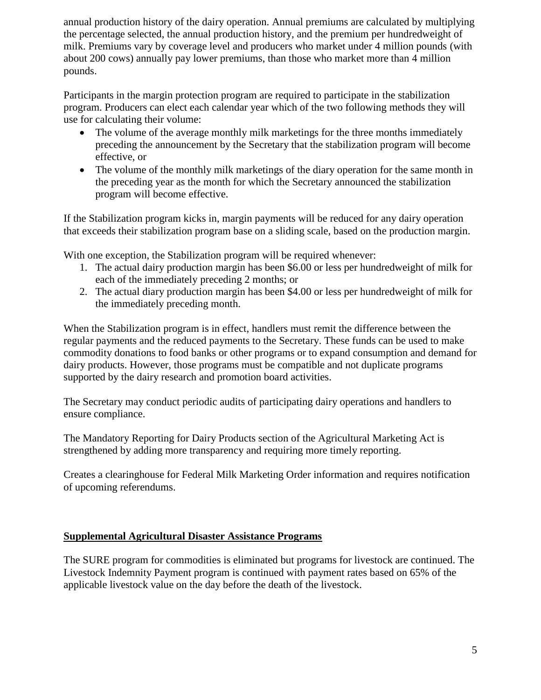annual production history of the dairy operation. Annual premiums are calculated by multiplying the percentage selected, the annual production history, and the premium per hundredweight of milk. Premiums vary by coverage level and producers who market under 4 million pounds (with about 200 cows) annually pay lower premiums, than those who market more than 4 million pounds.

Participants in the margin protection program are required to participate in the stabilization program. Producers can elect each calendar year which of the two following methods they will use for calculating their volume:

- The volume of the average monthly milk marketings for the three months immediately preceding the announcement by the Secretary that the stabilization program will become effective, or
- The volume of the monthly milk marketings of the diary operation for the same month in the preceding year as the month for which the Secretary announced the stabilization program will become effective.

If the Stabilization program kicks in, margin payments will be reduced for any dairy operation that exceeds their stabilization program base on a sliding scale, based on the production margin.

With one exception, the Stabilization program will be required whenever:

- 1. The actual dairy production margin has been \$6.00 or less per hundredweight of milk for each of the immediately preceding 2 months; or
- 2. The actual diary production margin has been \$4.00 or less per hundredweight of milk for the immediately preceding month.

When the Stabilization program is in effect, handlers must remit the difference between the regular payments and the reduced payments to the Secretary. These funds can be used to make commodity donations to food banks or other programs or to expand consumption and demand for dairy products. However, those programs must be compatible and not duplicate programs supported by the dairy research and promotion board activities.

The Secretary may conduct periodic audits of participating dairy operations and handlers to ensure compliance.

The Mandatory Reporting for Dairy Products section of the Agricultural Marketing Act is strengthened by adding more transparency and requiring more timely reporting.

Creates a clearinghouse for Federal Milk Marketing Order information and requires notification of upcoming referendums.

# **Supplemental Agricultural Disaster Assistance Programs**

The SURE program for commodities is eliminated but programs for livestock are continued. The Livestock Indemnity Payment program is continued with payment rates based on 65% of the applicable livestock value on the day before the death of the livestock.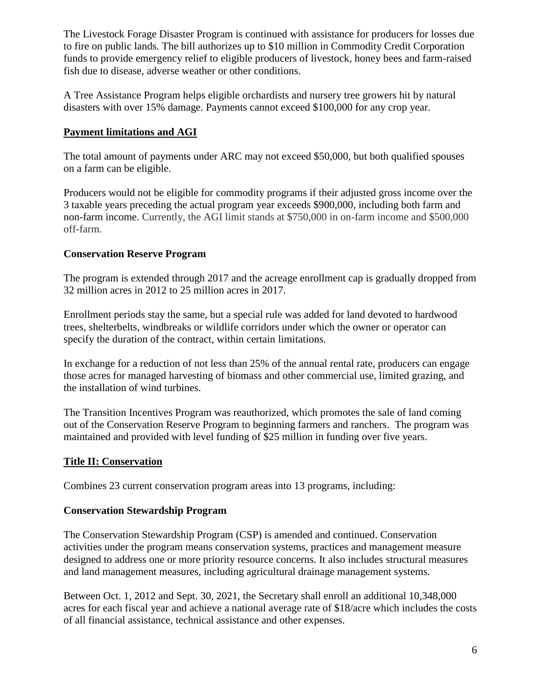The Livestock Forage Disaster Program is continued with assistance for producers for losses due to fire on public lands. The bill authorizes up to \$10 million in Commodity Credit Corporation funds to provide emergency relief to eligible producers of livestock, honey bees and farm-raised fish due to disease, adverse weather or other conditions.

A Tree Assistance Program helps eligible orchardists and nursery tree growers hit by natural disasters with over 15% damage. Payments cannot exceed \$100,000 for any crop year.

# **Payment limitations and AGI**

The total amount of payments under ARC may not exceed \$50,000, but both qualified spouses on a farm can be eligible.

Producers would not be eligible for commodity programs if their adjusted gross income over the 3 taxable years preceding the actual program year exceeds \$900,000, including both farm and non-farm income. Currently, the AGI limit stands at \$750,000 in on-farm income and \$500,000 off-farm.

### **Conservation Reserve Program**

The program is extended through 2017 and the acreage enrollment cap is gradually dropped from 32 million acres in 2012 to 25 million acres in 2017.

Enrollment periods stay the same, but a special rule was added for land devoted to hardwood trees, shelterbelts, windbreaks or wildlife corridors under which the owner or operator can specify the duration of the contract, within certain limitations.

In exchange for a reduction of not less than 25% of the annual rental rate, producers can engage those acres for managed harvesting of biomass and other commercial use, limited grazing, and the installation of wind turbines.

The Transition Incentives Program was reauthorized, which promotes the sale of land coming out of the Conservation Reserve Program to beginning farmers and ranchers. The program was maintained and provided with level funding of \$25 million in funding over five years.

# **Title II: Conservation**

Combines 23 current conservation program areas into 13 programs, including:

#### **Conservation Stewardship Program**

The Conservation Stewardship Program (CSP) is amended and continued. Conservation activities under the program means conservation systems, practices and management measure designed to address one or more priority resource concerns. It also includes structural measures and land management measures, including agricultural drainage management systems.

Between Oct. 1, 2012 and Sept. 30, 2021, the Secretary shall enroll an additional 10,348,000 acres for each fiscal year and achieve a national average rate of \$18/acre which includes the costs of all financial assistance, technical assistance and other expenses.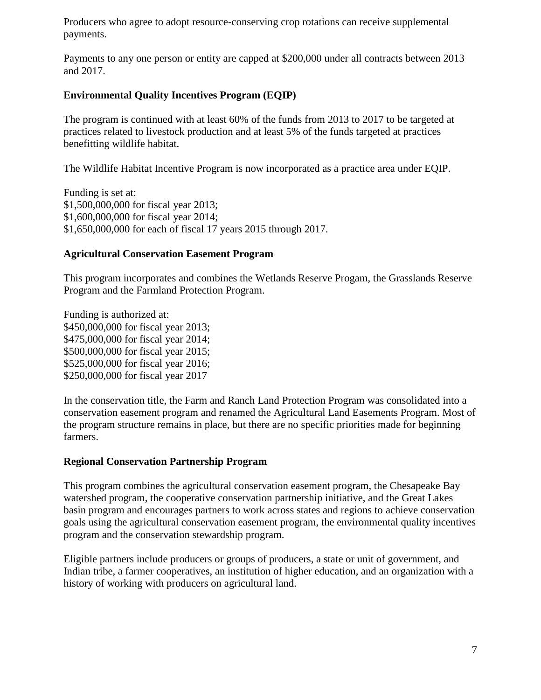Producers who agree to adopt resource-conserving crop rotations can receive supplemental payments.

Payments to any one person or entity are capped at \$200,000 under all contracts between 2013 and 2017.

### **Environmental Quality Incentives Program (EQIP)**

The program is continued with at least 60% of the funds from 2013 to 2017 to be targeted at practices related to livestock production and at least 5% of the funds targeted at practices benefitting wildlife habitat.

The Wildlife Habitat Incentive Program is now incorporated as a practice area under EQIP.

Funding is set at: \$1,500,000,000 for fiscal year 2013; \$1,600,000,000 for fiscal year 2014; \$1,650,000,000 for each of fiscal 17 years 2015 through 2017.

#### **Agricultural Conservation Easement Program**

This program incorporates and combines the Wetlands Reserve Progam, the Grasslands Reserve Program and the Farmland Protection Program.

Funding is authorized at: \$450,000,000 for fiscal year 2013; \$475,000,000 for fiscal year 2014; \$500,000,000 for fiscal year 2015; \$525,000,000 for fiscal year 2016; \$250,000,000 for fiscal year 2017

In the conservation title, the Farm and Ranch Land Protection Program was consolidated into a conservation easement program and renamed the Agricultural Land Easements Program. Most of the program structure remains in place, but there are no specific priorities made for beginning farmers.

#### **Regional Conservation Partnership Program**

This program combines the agricultural conservation easement program, the Chesapeake Bay watershed program, the cooperative conservation partnership initiative, and the Great Lakes basin program and encourages partners to work across states and regions to achieve conservation goals using the agricultural conservation easement program, the environmental quality incentives program and the conservation stewardship program.

Eligible partners include producers or groups of producers, a state or unit of government, and Indian tribe, a farmer cooperatives, an institution of higher education, and an organization with a history of working with producers on agricultural land.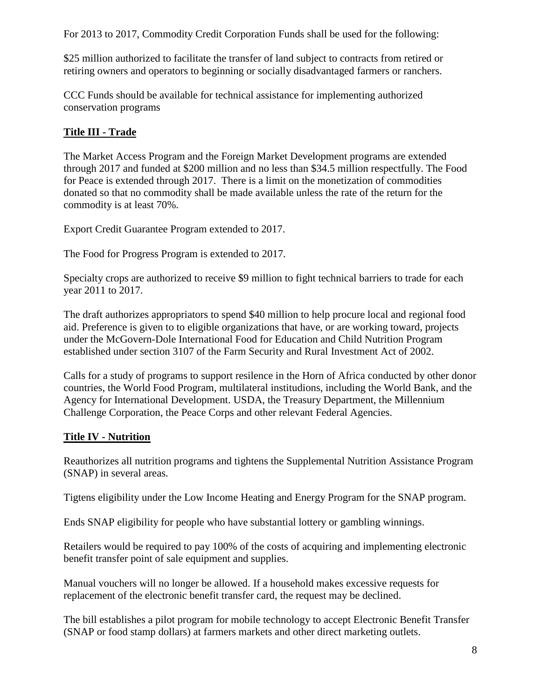For 2013 to 2017, Commodity Credit Corporation Funds shall be used for the following:

\$25 million authorized to facilitate the transfer of land subject to contracts from retired or retiring owners and operators to beginning or socially disadvantaged farmers or ranchers.

CCC Funds should be available for technical assistance for implementing authorized conservation programs

# **Title III - Trade**

The Market Access Program and the Foreign Market Development programs are extended through 2017 and funded at \$200 million and no less than \$34.5 million respectfully. The Food for Peace is extended through 2017. There is a limit on the monetization of commodities donated so that no commodity shall be made available unless the rate of the return for the commodity is at least 70%.

Export Credit Guarantee Program extended to 2017.

The Food for Progress Program is extended to 2017.

Specialty crops are authorized to receive \$9 million to fight technical barriers to trade for each year 2011 to 2017.

The draft authorizes appropriators to spend \$40 million to help procure local and regional food aid. Preference is given to to eligible organizations that have, or are working toward, projects under the McGovern-Dole International Food for Education and Child Nutrition Program established under section 3107 of the Farm Security and Rural Investment Act of 2002.

Calls for a study of programs to support resilence in the Horn of Africa conducted by other donor countries, the World Food Program, multilateral institudions, including the World Bank, and the Agency for International Development. USDA, the Treasury Department, the Millennium Challenge Corporation, the Peace Corps and other relevant Federal Agencies.

# **Title IV - Nutrition**

Reauthorizes all nutrition programs and tightens the Supplemental Nutrition Assistance Program (SNAP) in several areas.

Tigtens eligibility under the Low Income Heating and Energy Program for the SNAP program.

Ends SNAP eligibility for people who have substantial lottery or gambling winnings.

Retailers would be required to pay 100% of the costs of acquiring and implementing electronic benefit transfer point of sale equipment and supplies.

Manual vouchers will no longer be allowed. If a household makes excessive requests for replacement of the electronic benefit transfer card, the request may be declined.

The bill establishes a pilot program for mobile technology to accept Electronic Benefit Transfer (SNAP or food stamp dollars) at farmers markets and other direct marketing outlets.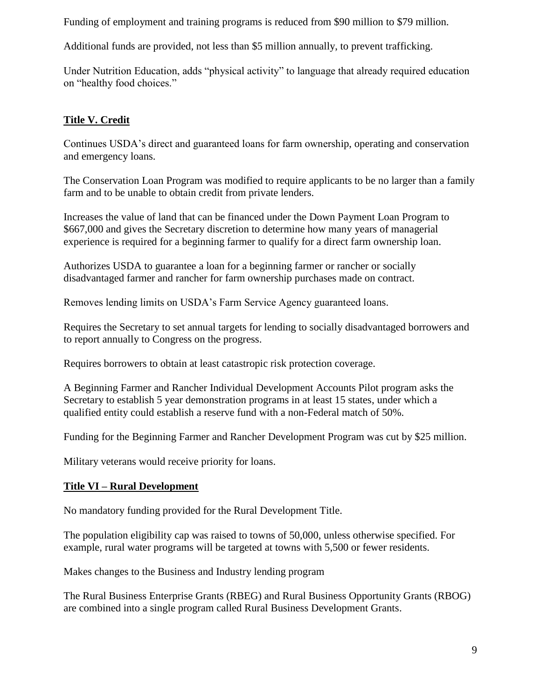Funding of employment and training programs is reduced from \$90 million to \$79 million.

Additional funds are provided, not less than \$5 million annually, to prevent trafficking.

Under Nutrition Education, adds "physical activity" to language that already required education on "healthy food choices."

# **Title V. Credit**

Continues USDA's direct and guaranteed loans for farm ownership, operating and conservation and emergency loans.

The Conservation Loan Program was modified to require applicants to be no larger than a family farm and to be unable to obtain credit from private lenders.

Increases the value of land that can be financed under the Down Payment Loan Program to \$667,000 and gives the Secretary discretion to determine how many years of managerial experience is required for a beginning farmer to qualify for a direct farm ownership loan.

Authorizes USDA to guarantee a loan for a beginning farmer or rancher or socially disadvantaged farmer and rancher for farm ownership purchases made on contract.

Removes lending limits on USDA's Farm Service Agency guaranteed loans.

Requires the Secretary to set annual targets for lending to socially disadvantaged borrowers and to report annually to Congress on the progress.

Requires borrowers to obtain at least catastropic risk protection coverage.

A Beginning Farmer and Rancher Individual Development Accounts Pilot program asks the Secretary to establish 5 year demonstration programs in at least 15 states, under which a qualified entity could establish a reserve fund with a non-Federal match of 50%.

Funding for the Beginning Farmer and Rancher Development Program was cut by \$25 million.

Military veterans would receive priority for loans.

# **Title VI – Rural Development**

No mandatory funding provided for the Rural Development Title.

The population eligibility cap was raised to towns of 50,000, unless otherwise specified. For example, rural water programs will be targeted at towns with 5,500 or fewer residents.

Makes changes to the Business and Industry lending program

The [Rural Business Enterprise Grants \(RBEG\)](http://sustainableagriculture.net/blog/rural-business-grants/) and [Rural Business Opportunity Grants \(RBOG\)](http://sustainableagriculture.net/blog/rbog-regional-food-projects/) are combined into a single program called Rural Business Development Grants.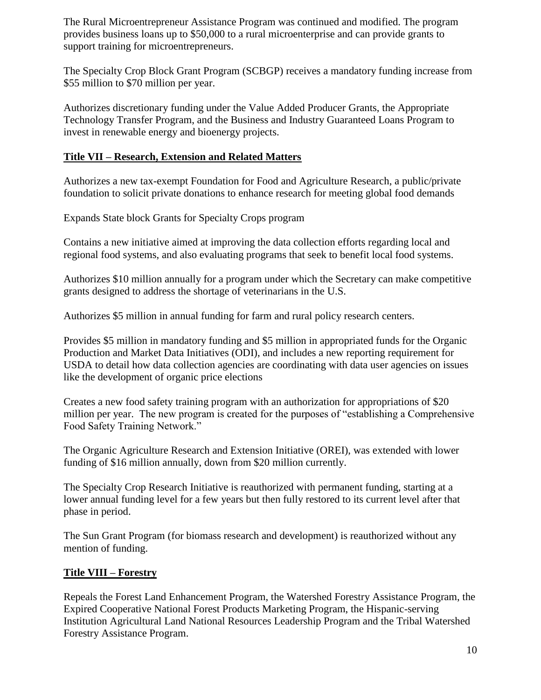The [Rural Microentrepreneur Assistance Program](http://sustainableagriculture.net/publications/grassrootsguide/local-food-systems-rural-development/rural-micro-entrepeneur-assistance/) was continued and modified. The program provides business loans up to \$50,000 to a rural microenterprise and can provide grants to support training for microentrepreneurs.

The [Specialty Crop Block Grant Program \(SCBGP\)](http://sustainableagriculture.net/publications/grassrootsguide/local-food-systems-rural-development/specialty-crop-grants/) receives a mandatory funding increase from \$55 million to \$70 million per year.

Authorizes discretionary funding under the Value Added Producer Grants, the Appropriate Technology Transfer Program, and the Business and Industry Guaranteed Loans Program to invest in renewable energy and bioenergy projects.

# **Title VII – Research, Extension and Related Matters**

Authorizes a new tax-exempt Foundation for Food and Agriculture Research, a public/private foundation to solicit private donations to enhance research for meeting global food demands

Expands State block Grants for Specialty Crops program

Contains a new initiative aimed at improving the data collection efforts regarding local and regional food systems, and also evaluating programs that seek to benefit local food systems.

Authorizes \$10 million annually for a program under which the Secretary can make competitive grants designed to address the shortage of veterinarians in the U.S.

Authorizes \$5 million in annual funding for farm and rural policy research centers.

Provides \$5 million in mandatory funding and \$5 million in appropriated funds for the Organic Production and Market Data Initiatives (ODI), and includes a new reporting requirement for USDA to detail how data collection agencies are coordinating with data user agencies on issues like the development of organic price elections

Creates a new food safety training program with an authorization for appropriations of \$20 million per year. The new program is created for the purposes of "establishing a Comprehensive Food Safety Training Network."

The Organic Agriculture Research and Extension Initiative (OREI), was extended with lower funding of \$16 million annually, down from \$20 million currently.

The Specialty Crop Research Initiative is reauthorized with permanent funding, starting at a lower annual funding level for a few years but then fully restored to its current level after that phase in period.

The Sun Grant Program (for biomass research and development) is reauthorized without any mention of funding.

# **Title VIII – Forestry**

Repeals the Forest Land Enhancement Program, the Watershed Forestry Assistance Program, the Expired Cooperative National Forest Products Marketing Program, the Hispanic-serving Institution Agricultural Land National Resources Leadership Program and the Tribal Watershed Forestry Assistance Program.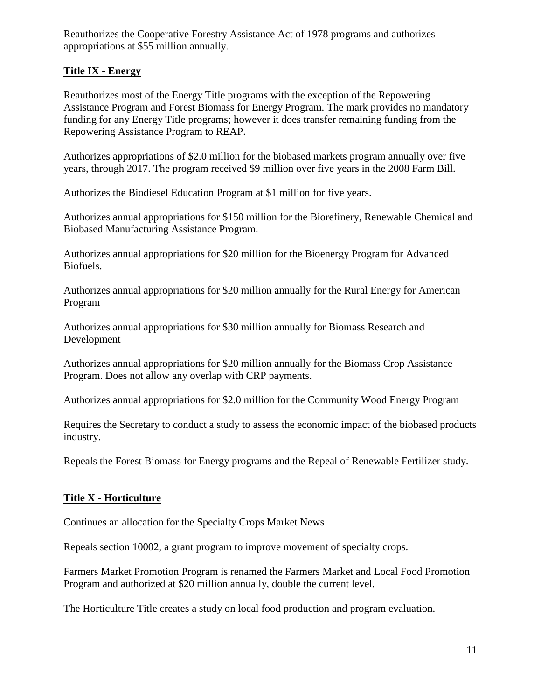Reauthorizes the Cooperative Forestry Assistance Act of 1978 programs and authorizes appropriations at \$55 million annually.

# **Title IX - Energy**

Reauthorizes most of the Energy Title programs with the exception of the Repowering Assistance Program and Forest Biomass for Energy Program. The mark provides no mandatory funding for any Energy Title programs; however it does transfer remaining funding from the Repowering Assistance Program to REAP.

Authorizes appropriations of \$2.0 million for the biobased markets program annually over five years, through 2017. The program received \$9 million over five years in the 2008 Farm Bill.

Authorizes the Biodiesel Education Program at \$1 million for five years.

Authorizes annual appropriations for \$150 million for the Biorefinery, Renewable Chemical and Biobased Manufacturing Assistance Program.

Authorizes annual appropriations for \$20 million for the Bioenergy Program for Advanced Biofuels.

Authorizes annual appropriations for \$20 million annually for the Rural Energy for American Program

Authorizes annual appropriations for \$30 million annually for Biomass Research and Development

Authorizes annual appropriations for \$20 million annually for the Biomass Crop Assistance Program. Does not allow any overlap with CRP payments.

Authorizes annual appropriations for \$2.0 million for the Community Wood Energy Program

Requires the Secretary to conduct a study to assess the economic impact of the biobased products industry.

Repeals the Forest Biomass for Energy programs and the Repeal of Renewable Fertilizer study.

# **Title X - Horticulture**

Continues an allocation for the Specialty Crops Market News

Repeals section 10002, a grant program to improve movement of specialty crops.

Farmers Market Promotion Program is renamed the Farmers Market and Local Food Promotion Program and authorized at \$20 million annually, double the current level.

The Horticulture Title creates a study on local food production and program evaluation.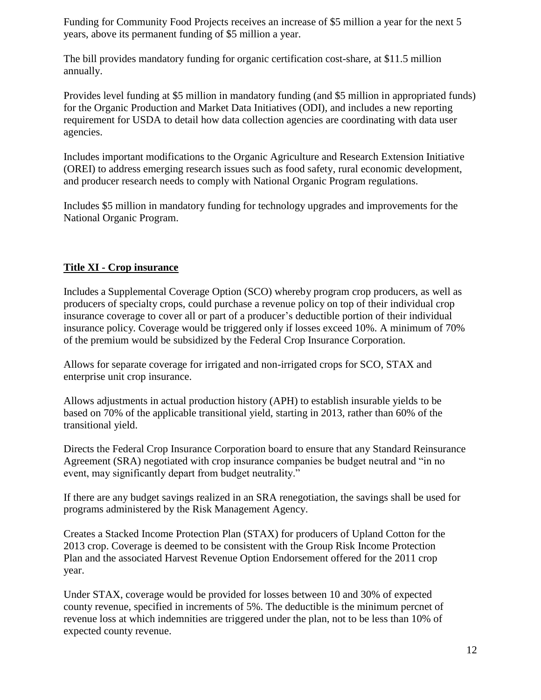Funding for Community Food Projects receives an increase of \$5 million a year for the next 5 years, above its permanent funding of \$5 million a year.

The bill provides mandatory funding for organic certification cost-share, at \$11.5 million annually.

Provides level funding at \$5 million in mandatory funding (and \$5 million in appropriated funds) for the Organic Production and Market Data Initiatives (ODI), and includes a new reporting requirement for USDA to detail how data collection agencies are coordinating with data user agencies.

Includes important modifications to the Organic Agriculture and Research Extension Initiative (OREI) to address emerging research issues such as food safety, rural economic development, and producer research needs to comply with National Organic Program regulations.

Includes \$5 million in mandatory funding for technology upgrades and improvements for the National Organic Program.

# **Title XI - Crop insurance**

Includes a Supplemental Coverage Option (SCO) whereby program crop producers, as well as producers of specialty crops, could purchase a revenue policy on top of their individual crop insurance coverage to cover all or part of a producer's deductible portion of their individual insurance policy. Coverage would be triggered only if losses exceed 10%. A minimum of 70% of the premium would be subsidized by the Federal Crop Insurance Corporation.

Allows for separate coverage for irrigated and non-irrigated crops for SCO, STAX and enterprise unit crop insurance.

Allows adjustments in actual production history (APH) to establish insurable yields to be based on 70% of the applicable transitional yield, starting in 2013, rather than 60% of the transitional yield.

Directs the Federal Crop Insurance Corporation board to ensure that any Standard Reinsurance Agreement (SRA) negotiated with crop insurance companies be budget neutral and "in no event, may significantly depart from budget neutrality."

If there are any budget savings realized in an SRA renegotiation, the savings shall be used for programs administered by the Risk Management Agency.

Creates a Stacked Income Protection Plan (STAX) for producers of Upland Cotton for the 2013 crop. Coverage is deemed to be consistent with the Group Risk Income Protection Plan and the associated Harvest Revenue Option Endorsement offered for the 2011 crop year.

Under STAX, coverage would be provided for losses between 10 and 30% of expected county revenue, specified in increments of 5%. The deductible is the minimum percnet of revenue loss at which indemnities are triggered under the plan, not to be less than 10% of expected county revenue.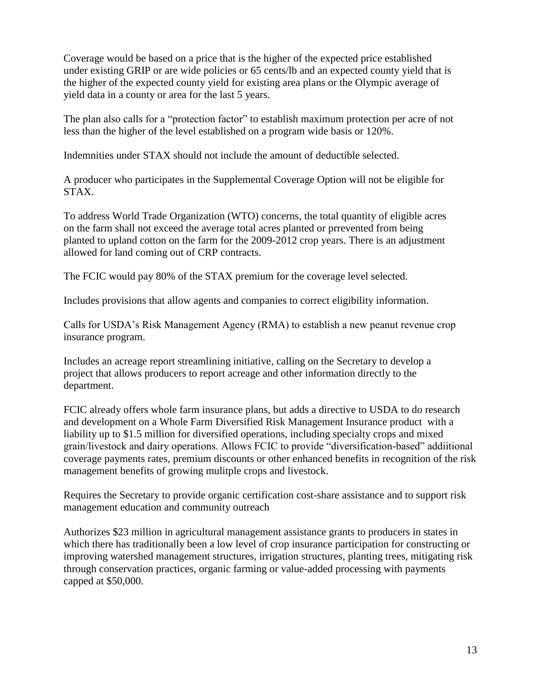Coverage would be based on a price that is the higher of the expected price established under existing GRIP or are wide policies or 65 cents/lb and an expected county yield that is the higher of the expected county yield for existing area plans or the Olympic average of yield data in a county or area for the last 5 years.

The plan also calls for a "protection factor" to establish maximum protection per acre of not less than the higher of the level established on a program wide basis or 120%.

Indemnities under STAX should not include the amount of deductible selected.

A producer who participates in the Supplemental Coverage Option will not be eligible for STAX.

To address World Trade Organization (WTO) concerns, the total quantity of eligible acres on the farm shall not exceed the average total acres planted or prrevented from being planted to upland cotton on the farm for the 2009-2012 crop years. There is an adjustment allowed for land coming out of CRP contracts.

The FCIC would pay 80% of the STAX premium for the coverage level selected.

Includes provisions that allow agents and companies to correct eligibility information.

Calls for USDA's Risk Management Agency (RMA) to establish a new peanut revenue crop insurance program.

Includes an acreage report streamlining initiative, calling on the Secretary to develop a project that allows producers to report acreage and other information directly to the department.

FCIC already offers whole farm insurance plans, but adds a directive to USDA to do research and development on a Whole Farm Diversified Risk Management Insurance product with a liability up to \$1.5 million for diversified operations, including specialty crops and mixed grain/livestock and dairy operations. Allows FCIC to provide "diversification-based" addiitional coverage payments rates, premium discounts or other enhanced benefits in recognition of the risk management benefits of growing mulitple crops and livestock.

Requires the Secretary to provide organic certification cost-share assistance and to support risk management education and community outreach

Authorizes \$23 million in agricultural management assistance grants to producers in states in which there has traditionally been a low level of crop insurance participation for constructing or improving watershed management structures, irrigation structures, planting trees, mitigating risk through conservation practices, organic farming or value-added processing with payments capped at \$50,000.